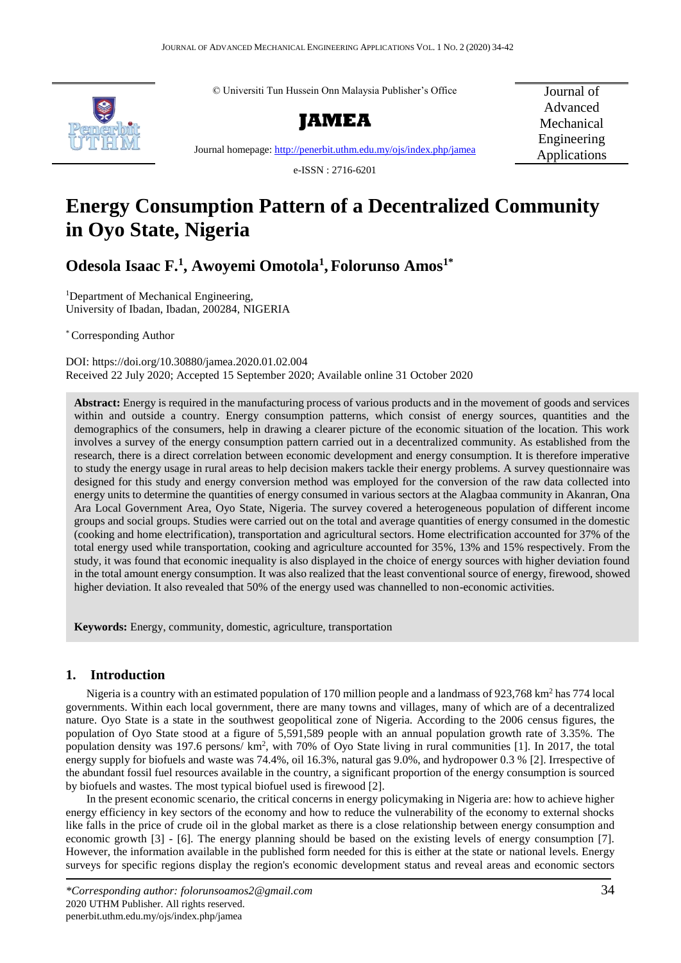© Universiti Tun Hussein Onn Malaysia Publisher's Office



**JAMEA**

Journal of Advanced Mechanical Engineering Applications

Journal homepage[: http://penerbit.uthm.edu.my/ojs/index.php/jamea](http://penerbit.uthm.edu.my/ojs/index.php/jamea)

e-ISSN : 2716-6201

# **Energy Consumption Pattern of a Decentralized Community in Oyo State, Nigeria**

**Odesola Isaac F.<sup>1</sup> , Awoyemi Omotola<sup>1</sup> , Folorunso Amos1\***

<sup>1</sup>Department of Mechanical Engineering, University of Ibadan, Ibadan, 200284, NIGERIA

\* Corresponding Author

DOI: https://doi.org/10.30880/jamea.2020.01.02.004 Received 22 July 2020; Accepted 15 September 2020; Available online 31 October 2020

**Abstract:** Energy is required in the manufacturing process of various products and in the movement of goods and services within and outside a country. Energy consumption patterns, which consist of energy sources, quantities and the demographics of the consumers, help in drawing a clearer picture of the economic situation of the location. This work involves a survey of the energy consumption pattern carried out in a decentralized community. As established from the research, there is a direct correlation between economic development and energy consumption. It is therefore imperative to study the energy usage in rural areas to help decision makers tackle their energy problems. A survey questionnaire was designed for this study and energy conversion method was employed for the conversion of the raw data collected into energy units to determine the quantities of energy consumed in various sectors at the Alagbaa community in Akanran, Ona Ara Local Government Area, Oyo State, Nigeria. The survey covered a heterogeneous population of different income groups and social groups. Studies were carried out on the total and average quantities of energy consumed in the domestic (cooking and home electrification), transportation and agricultural sectors. Home electrification accounted for 37% of the total energy used while transportation, cooking and agriculture accounted for 35%, 13% and 15% respectively. From the study, it was found that economic inequality is also displayed in the choice of energy sources with higher deviation found in the total amount energy consumption. It was also realized that the least conventional source of energy, firewood, showed higher deviation. It also revealed that 50% of the energy used was channelled to non-economic activities.

**Keywords:** Energy, community, domestic, agriculture, transportation

# **1. Introduction**

Nigeria is a country with an estimated population of 170 million people and a landmass of 923,768 km<sup>2</sup> has 774 local governments. Within each local government, there are many towns and villages, many of which are of a decentralized nature. Oyo State is a state in the southwest geopolitical zone of Nigeria. According to the 2006 census figures, the population of Oyo State stood at a figure of 5,591,589 people with an annual population growth rate of 3.35%. The population density was 197.6 persons/ km<sup>2</sup>, with 70% of Oyo State living in rural communities [1]. In 2017, the total energy supply for biofuels and waste was 74.4%, oil 16.3%, natural gas 9.0%, and hydropower 0.3 % [2]. Irrespective of the abundant fossil fuel resources available in the country, a significant proportion of the energy consumption is sourced by biofuels and wastes. The most typical biofuel used is firewood [2].

In the present economic scenario, the critical concerns in energy policymaking in Nigeria are: how to achieve higher energy efficiency in key sectors of the economy and how to reduce the vulnerability of the economy to external shocks like falls in the price of crude oil in the global market as there is a close relationship between energy consumption and economic growth [3] - [6]. The energy planning should be based on the existing levels of energy consumption [7]. However, the information available in the published form needed for this is either at the state or national levels. Energy surveys for specific regions display the region's economic development status and reveal areas and economic sectors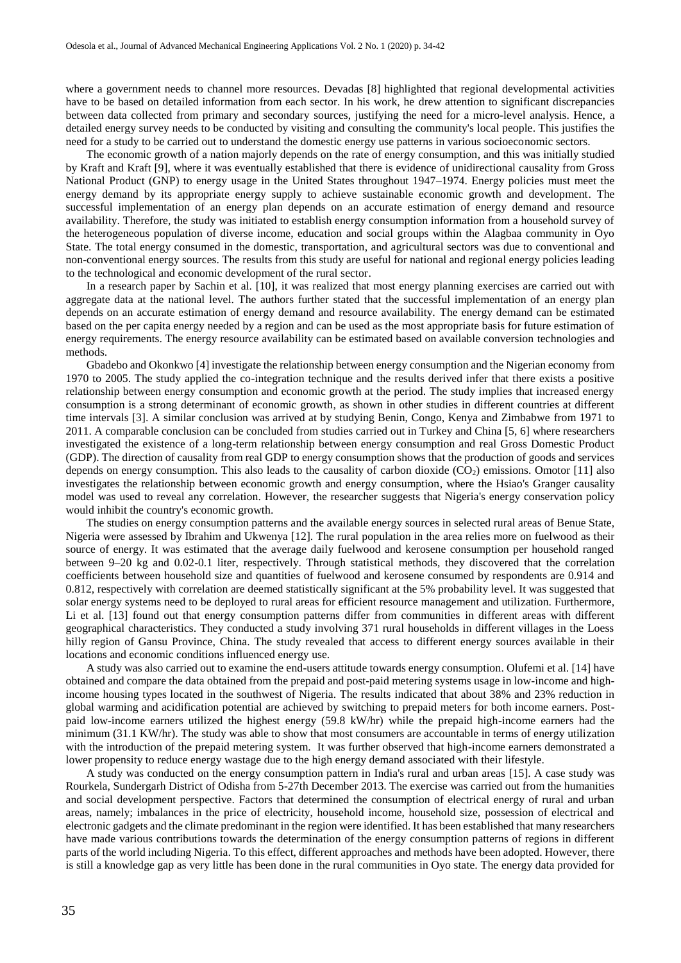where a government needs to channel more resources. Devadas [8] highlighted that regional developmental activities have to be based on detailed information from each sector. In his work, he drew attention to significant discrepancies between data collected from primary and secondary sources, justifying the need for a micro-level analysis. Hence, a detailed energy survey needs to be conducted by visiting and consulting the community's local people. This justifies the need for a study to be carried out to understand the domestic energy use patterns in various socioeconomic sectors.

The economic growth of a nation majorly depends on the rate of energy consumption, and this was initially studied by Kraft and Kraft [9], where it was eventually established that there is evidence of unidirectional causality from Gross National Product (GNP) to energy usage in the United States throughout 1947–1974. Energy policies must meet the energy demand by its appropriate energy supply to achieve sustainable economic growth and development. The successful implementation of an energy plan depends on an accurate estimation of energy demand and resource availability. Therefore, the study was initiated to establish energy consumption information from a household survey of the heterogeneous population of diverse income, education and social groups within the Alagbaa community in Oyo State. The total energy consumed in the domestic, transportation, and agricultural sectors was due to conventional and non-conventional energy sources. The results from this study are useful for national and regional energy policies leading to the technological and economic development of the rural sector.

In a research paper by Sachin et al. [10], it was realized that most energy planning exercises are carried out with aggregate data at the national level. The authors further stated that the successful implementation of an energy plan depends on an accurate estimation of energy demand and resource availability. The energy demand can be estimated based on the per capita energy needed by a region and can be used as the most appropriate basis for future estimation of energy requirements. The energy resource availability can be estimated based on available conversion technologies and methods.

Gbadebo and Okonkwo [4] investigate the relationship between energy consumption and the Nigerian economy from 1970 to 2005. The study applied the co-integration technique and the results derived infer that there exists a positive relationship between energy consumption and economic growth at the period. The study implies that increased energy consumption is a strong determinant of economic growth, as shown in other studies in different countries at different time intervals [3]. A similar conclusion was arrived at by studying Benin, Congo, Kenya and Zimbabwe from 1971 to 2011. A comparable conclusion can be concluded from studies carried out in Turkey and China [5, 6] where researchers investigated the existence of a long-term relationship between energy consumption and real Gross Domestic Product (GDP). The direction of causality from real GDP to energy consumption shows that the production of goods and services depends on energy consumption. This also leads to the causality of carbon dioxide  $(CO<sub>2</sub>)$  emissions. Omotor [11] also investigates the relationship between economic growth and energy consumption, where the Hsiao's Granger causality model was used to reveal any correlation. However, the researcher suggests that Nigeria's energy conservation policy would inhibit the country's economic growth.

The studies on energy consumption patterns and the available energy sources in selected rural areas of Benue State, Nigeria were assessed by Ibrahim and Ukwenya [12]. The rural population in the area relies more on fuelwood as their source of energy. It was estimated that the average daily fuelwood and kerosene consumption per household ranged between 9–20 kg and 0.02-0.1 liter, respectively. Through statistical methods, they discovered that the correlation coefficients between household size and quantities of fuelwood and kerosene consumed by respondents are 0.914 and 0.812, respectively with correlation are deemed statistically significant at the 5% probability level. It was suggested that solar energy systems need to be deployed to rural areas for efficient resource management and utilization. Furthermore, Li et al. [13] found out that energy consumption patterns differ from communities in different areas with different geographical characteristics. They conducted a study involving 371 rural households in different villages in the Loess hilly region of Gansu Province, China. The study revealed that access to different energy sources available in their locations and economic conditions influenced energy use.

A study was also carried out to examine the end-users attitude towards energy consumption. Olufemi et al. [14] have obtained and compare the data obtained from the prepaid and post-paid metering systems usage in low-income and highincome housing types located in the southwest of Nigeria. The results indicated that about 38% and 23% reduction in global warming and acidification potential are achieved by switching to prepaid meters for both income earners. Postpaid low-income earners utilized the highest energy (59.8 kW/hr) while the prepaid high-income earners had the minimum (31.1 KW/hr). The study was able to show that most consumers are accountable in terms of energy utilization with the introduction of the prepaid metering system. It was further observed that high-income earners demonstrated a lower propensity to reduce energy wastage due to the high energy demand associated with their lifestyle.

A study was conducted on the energy consumption pattern in India's rural and urban areas [15]. A case study was Rourkela, Sundergarh District of Odisha from 5-27th December 2013. The exercise was carried out from the humanities and social development perspective. Factors that determined the consumption of electrical energy of rural and urban areas, namely; imbalances in the price of electricity, household income, household size, possession of electrical and electronic gadgets and the climate predominant in the region were identified. It has been established that many researchers have made various contributions towards the determination of the energy consumption patterns of regions in different parts of the world including Nigeria. To this effect, different approaches and methods have been adopted. However, there is still a knowledge gap as very little has been done in the rural communities in Oyo state. The energy data provided for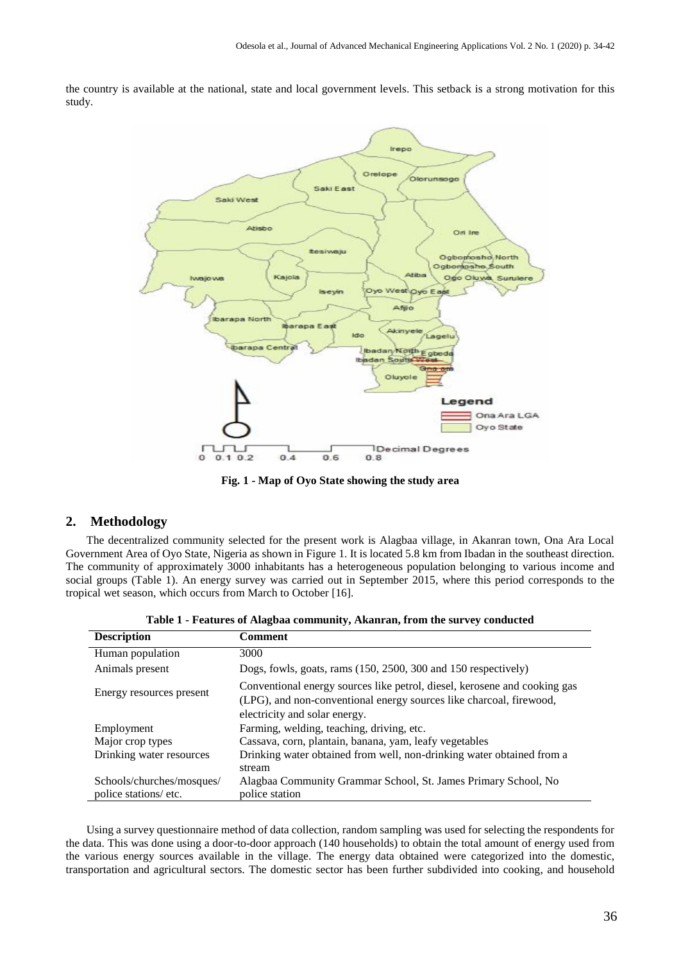the country is available at the national, state and local government levels. This setback is a strong motivation for this study.



**Fig. 1 - Map of Oyo State showing the study area**

#### **2. Methodology**

The decentralized community selected for the present work is Alagbaa village, in Akanran town, Ona Ara Local Government Area of Oyo State, Nigeria as shown in Figure 1. It is located 5.8 km from Ibadan in the southeast direction. The community of approximately 3000 inhabitants has a heterogeneous population belonging to various income and social groups (Table 1). An energy survey was carried out in September 2015, where this period corresponds to the tropical wet season, which occurs from March to October [16].

| <b>Description</b>        | Comment                                                                                                                                                                           |
|---------------------------|-----------------------------------------------------------------------------------------------------------------------------------------------------------------------------------|
| Human population          | 3000                                                                                                                                                                              |
| Animals present           | Dogs, fowls, goats, rams $(150, 2500, 300, 150)$ respectively                                                                                                                     |
| Energy resources present  | Conventional energy sources like petrol, diesel, kerosene and cooking gas<br>(LPG), and non-conventional energy sources like charcoal, firewood,<br>electricity and solar energy. |
| Employment                | Farming, welding, teaching, driving, etc.                                                                                                                                         |
| Major crop types          | Cassava, corn, plantain, banana, yam, leafy vegetables                                                                                                                            |
| Drinking water resources  | Drinking water obtained from well, non-drinking water obtained from a<br>stream                                                                                                   |
| Schools/churches/mosques/ | Alagbaa Community Grammar School, St. James Primary School, No                                                                                                                    |
| police stations/etc.      | police station                                                                                                                                                                    |

**Table 1 - Features of Alagbaa community, Akanran, from the survey conducted**

Using a survey questionnaire method of data collection, random sampling was used for selecting the respondents for the data. This was done using a door-to-door approach (140 households) to obtain the total amount of energy used from the various energy sources available in the village. The energy data obtained were categorized into the domestic, transportation and agricultural sectors. The domestic sector has been further subdivided into cooking, and household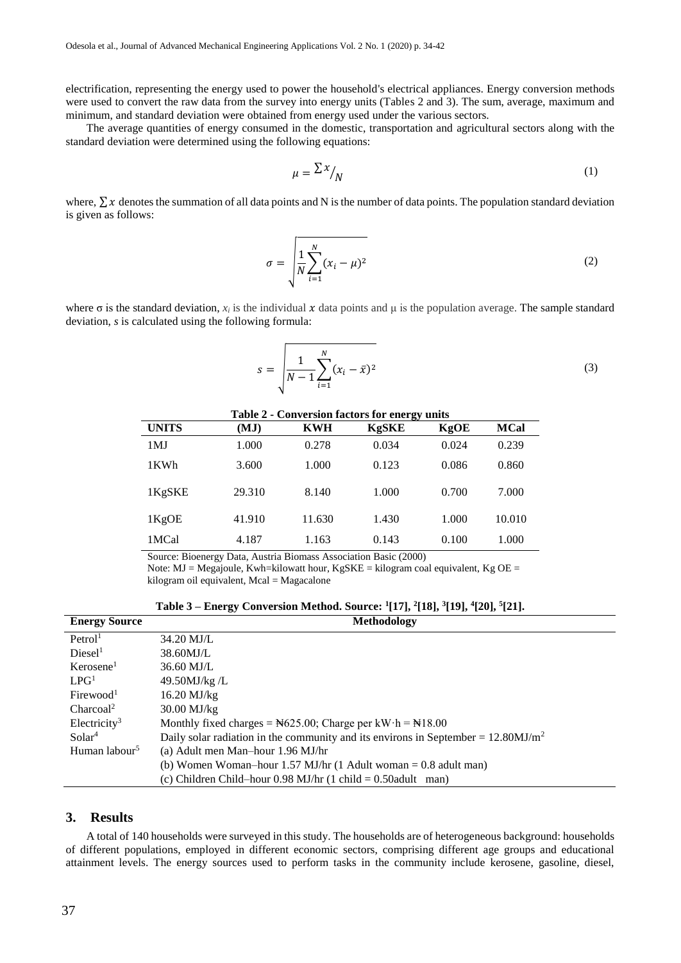electrification, representing the energy used to power the household's electrical appliances. Energy conversion methods were used to convert the raw data from the survey into energy units (Tables 2 and 3). The sum, average, maximum and minimum, and standard deviation were obtained from energy used under the various sectors.

The average quantities of energy consumed in the domestic, transportation and agricultural sectors along with the standard deviation were determined using the following equations:

$$
\mu = \frac{\sum x}{N} \tag{1}
$$

where,  $\sum x$  denotes the summation of all data points and N is the number of data points. The population standard deviation is given as follows:

$$
\sigma = \sqrt{\frac{1}{N} \sum_{i=1}^{N} (x_i - \mu)^2}
$$
 (2)

where  $\sigma$  is the standard deviation,  $x_i$  is the individual x data points and  $\mu$  is the population average. The sample standard deviation, *s* is calculated using the following formula:

$$
s = \sqrt{\frac{1}{N-1} \sum_{i=1}^{N} (x_i - \bar{x})^2}
$$
 (3)

| <b>Table 2 - Conversion factors for energy units</b> |                                                  |                                |                        |       |             |  |  |  |  |  |
|------------------------------------------------------|--------------------------------------------------|--------------------------------|------------------------|-------|-------------|--|--|--|--|--|
| <b>UNITS</b>                                         | (MJ)                                             | <b>KWH</b>                     | <b>KgSKE</b>           | KgOE  | <b>MCal</b> |  |  |  |  |  |
| 1MJ                                                  | 1.000                                            | 0.278                          | 0.034                  | 0.024 | 0.239       |  |  |  |  |  |
| 1KWh                                                 | 3.600                                            | 1.000                          | 0.123                  | 0.086 | 0.860       |  |  |  |  |  |
| 1KgSKE                                               | 29.310                                           | 8.140                          | 1.000                  | 0.700 | 7.000       |  |  |  |  |  |
| 1KgOE                                                | 41.910                                           | 11.630                         | 1.430                  | 1.000 | 10.010      |  |  |  |  |  |
| 1MCal                                                | 4.187                                            | 1.163                          | 0.143                  | 0.100 | 1.000       |  |  |  |  |  |
| $\mathbf{r}$<br>$\sim$                               | <b>Production A <i>A A A A A A A A A A A</i></b> | $\mathbf{r}$<br>$\blacksquare$ | $\mathbf{D}$ $(0.000)$ |       |             |  |  |  |  |  |

Source: Bioenergy Data, Austria Biomass Association Basic (2000)

Note: MJ = Megajoule, Kwh=kilowatt hour, KgSKE = kilogram coal equivalent, Kg OE = kilogram oil equivalent, Mcal = Magacalone

**Table 3 – Energy Conversion Method. Source: <sup>1</sup> [17], <sup>2</sup> [18], 3 [19], 4 [20], 5 [21].**

| <b>Energy Source</b>      | Methodology                                                                                  |
|---------------------------|----------------------------------------------------------------------------------------------|
| Petrol <sup>1</sup>       | 34.20 MJ/L                                                                                   |
| Diesel <sup>1</sup>       | 38.60MJ/L                                                                                    |
| Kerosene <sup>1</sup>     | 36.60 MJ/L                                                                                   |
| LPG <sup>1</sup>          | 49.50MJ/kg/L                                                                                 |
| Firewood <sup>1</sup>     | $16.20$ MJ/kg                                                                                |
| Charcoal <sup>2</sup>     | 30.00 MJ/kg                                                                                  |
| Electricity <sup>3</sup>  | Monthly fixed charges = $\text{N625.00}$ ; Charge per kW·h = $\text{N18.00}$                 |
| Solar <sup>4</sup>        | Daily solar radiation in the community and its environs in September = $12.80 \text{MJ/m}^2$ |
| Human labour <sup>5</sup> | (a) Adult men Man-hour 1.96 MJ/hr                                                            |
|                           | (b) Women Woman-hour 1.57 MJ/hr $(1$ Adult woman = 0.8 adult man)                            |
|                           | (c) Children Child-hour $0.98$ MJ/hr $(1 \text{ child} = 0.50$ adult man)                    |

#### **3. Results**

A total of 140 households were surveyed in this study. The households are of heterogeneous background: households of different populations, employed in different economic sectors, comprising different age groups and educational attainment levels. The energy sources used to perform tasks in the community include kerosene, gasoline, diesel,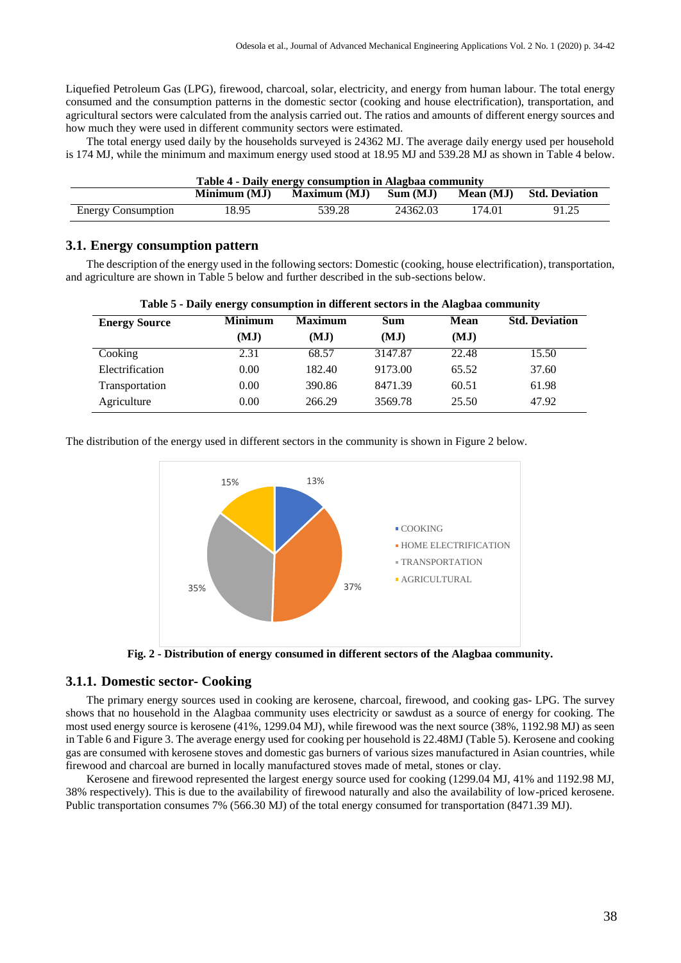Liquefied Petroleum Gas (LPG), firewood, charcoal, solar, electricity, and energy from human labour. The total energy consumed and the consumption patterns in the domestic sector (cooking and house electrification), transportation, and agricultural sectors were calculated from the analysis carried out. The ratios and amounts of different energy sources and how much they were used in different community sectors were estimated.

The total energy used daily by the households surveyed is 24362 MJ. The average daily energy used per household is 174 MJ, while the minimum and maximum energy used stood at 18.95 MJ and 539.28 MJ as shown in Table 4 below.

| Table 4 - Daily energy consumption in Alagbaa community |              |                     |          |           |                       |  |  |  |
|---------------------------------------------------------|--------------|---------------------|----------|-----------|-----------------------|--|--|--|
|                                                         | Minimum (MJ) | <b>Maximum (MJ)</b> | Sum (MJ) | Mean (MJ) | <b>Std. Deviation</b> |  |  |  |
| <b>Energy Consumption</b>                               | 18.95        | 539.28              | 24362.03 | 174.01    | 91.25                 |  |  |  |

# **3.1. Energy consumption pattern**

The description of the energy used in the following sectors: Domestic (cooking, house electrification), transportation, and agriculture are shown in Table 5 below and further described in the sub-sections below.

| <b>Energy Source</b> | <b>Minimum</b> | <b>Maximum</b> | <b>Sum</b> | <b>Mean</b> | <b>Std. Deviation</b> |
|----------------------|----------------|----------------|------------|-------------|-----------------------|
|                      | (MJ)           | (MJ)           | (MJ)       | (MJ)        |                       |
| Cooking              | 2.31           | 68.57          | 3147.87    | 22.48       | 15.50                 |
| Electrification      | 0.00           | 182.40         | 9173.00    | 65.52       | 37.60                 |
| Transportation       | 0.00           | 390.86         | 8471.39    | 60.51       | 61.98                 |
| Agriculture          | 0.00           | 266.29         | 3569.78    | 25.50       | 47.92                 |

|  | Table 5 - Daily energy consumption in different sectors in the Alagbaa community |  |  |  |  |
|--|----------------------------------------------------------------------------------|--|--|--|--|
|  |                                                                                  |  |  |  |  |

The distribution of the energy used in different sectors in the community is shown in Figure 2 below.



**Fig. 2 - Distribution of energy consumed in different sectors of the Alagbaa community.**

#### **3.1.1. Domestic sector- Cooking**

The primary energy sources used in cooking are kerosene, charcoal, firewood, and cooking gas- LPG. The survey shows that no household in the Alagbaa community uses electricity or sawdust as a source of energy for cooking. The most used energy source is kerosene (41%, 1299.04 MJ), while firewood was the next source (38%, 1192.98 MJ) as seen in Table 6 and Figure 3. The average energy used for cooking per household is 22.48MJ (Table 5). Kerosene and cooking gas are consumed with kerosene stoves and domestic gas burners of various sizes manufactured in Asian countries, while firewood and charcoal are burned in locally manufactured stoves made of metal, stones or clay.

Kerosene and firewood represented the largest energy source used for cooking (1299.04 MJ, 41% and 1192.98 MJ, 38% respectively). This is due to the availability of firewood naturally and also the availability of low-priced kerosene. Public transportation consumes 7% (566.30 MJ) of the total energy consumed for transportation (8471.39 MJ).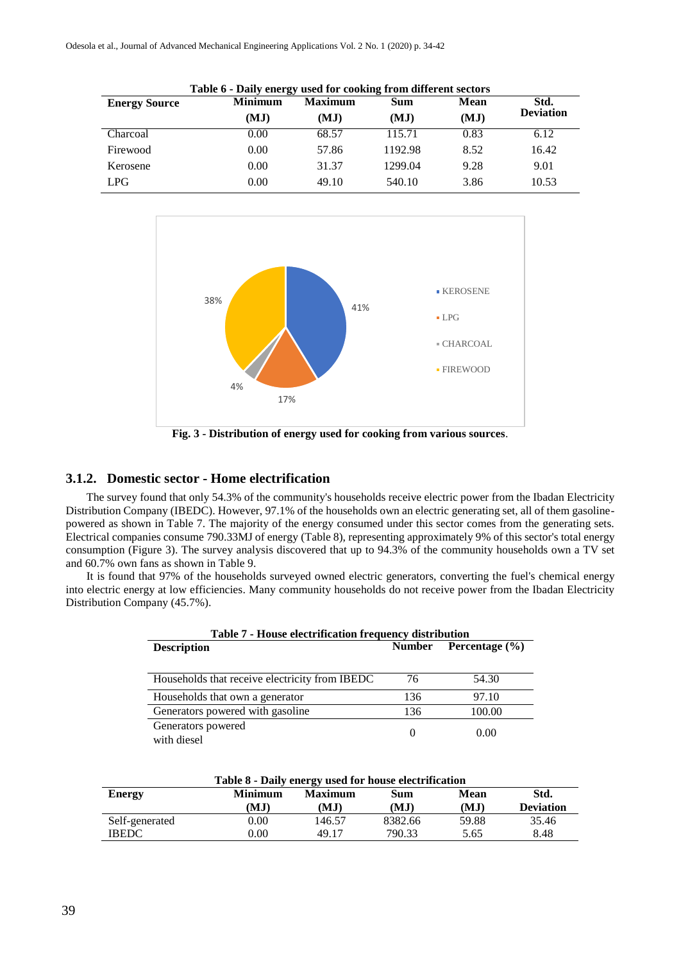Odesola et al., Journal of Advanced Mechanical Engineering Applications Vol. 2 No. 1 (2020) p. 34-42

| Table 6 - Daily energy used for cooking from different sectors |                |                |         |             |                  |  |  |  |  |
|----------------------------------------------------------------|----------------|----------------|---------|-------------|------------------|--|--|--|--|
| <b>Energy Source</b>                                           | <b>Minimum</b> | <b>Maximum</b> | Sum     | <b>Mean</b> | Std.             |  |  |  |  |
|                                                                | (MJ)           | (MJ)           | (MJ)    | (MJ)        | <b>Deviation</b> |  |  |  |  |
| Charcoal                                                       | 0.00           | 68.57          | 115.71  | 0.83        | 6.12             |  |  |  |  |
| Firewood                                                       | 0.00           | 57.86          | 1192.98 | 8.52        | 16.42            |  |  |  |  |
| Kerosene                                                       | 0.00           | 31.37          | 1299.04 | 9.28        | 9.01             |  |  |  |  |
| <b>LPG</b>                                                     | 0.00           | 49.10          | 540.10  | 3.86        | 10.53            |  |  |  |  |



**Fig. 3 - Distribution of energy used for cooking from various sources**.

#### **3.1.2. Domestic sector - Home electrification**

The survey found that only 54.3% of the community's households receive electric power from the Ibadan Electricity Distribution Company (IBEDC). However, 97.1% of the households own an electric generating set, all of them gasolinepowered as shown in Table 7. The majority of the energy consumed under this sector comes from the generating sets. Electrical companies consume 790.33MJ of energy (Table 8), representing approximately 9% of this sector's total energy consumption (Figure 3). The survey analysis discovered that up to 94.3% of the community households own a TV set and 60.7% own fans as shown in Table 9.

It is found that 97% of the households surveyed owned electric generators, converting the fuel's chemical energy into electric energy at low efficiencies. Many community households do not receive power from the Ibadan Electricity Distribution Company (45.7%).

| Table 7 - House electrification frequency distribution |               |                    |  |  |  |  |
|--------------------------------------------------------|---------------|--------------------|--|--|--|--|
| <b>Description</b>                                     | <b>Number</b> | Percentage $(\% )$ |  |  |  |  |
| Households that receive electricity from IBEDC         | 76            | 54.30              |  |  |  |  |
| Households that own a generator                        | 136           | 97.10              |  |  |  |  |
| Generators powered with gasoline                       | 136           | 100.00             |  |  |  |  |
| Generators powered<br>with diesel                      |               | 0.00               |  |  |  |  |

| Table 8 - Daily energy used for house electrification |          |                |         |             |                  |  |  |  |
|-------------------------------------------------------|----------|----------------|---------|-------------|------------------|--|--|--|
| <b>Energy</b>                                         | Minimum  | <b>Maximum</b> | Sum     | <b>Mean</b> | Std.             |  |  |  |
|                                                       | (MJ)     | (MJ)           | (MJ)    | (MJ)        | <b>Deviation</b> |  |  |  |
| Self-generated                                        | $0.00\,$ | 146.57         | 8382.66 | 59.88       | 35.46            |  |  |  |
| <b>IBEDC</b>                                          | $0.00\,$ | 49.17          | 790.33  | 5.65        | 8.48             |  |  |  |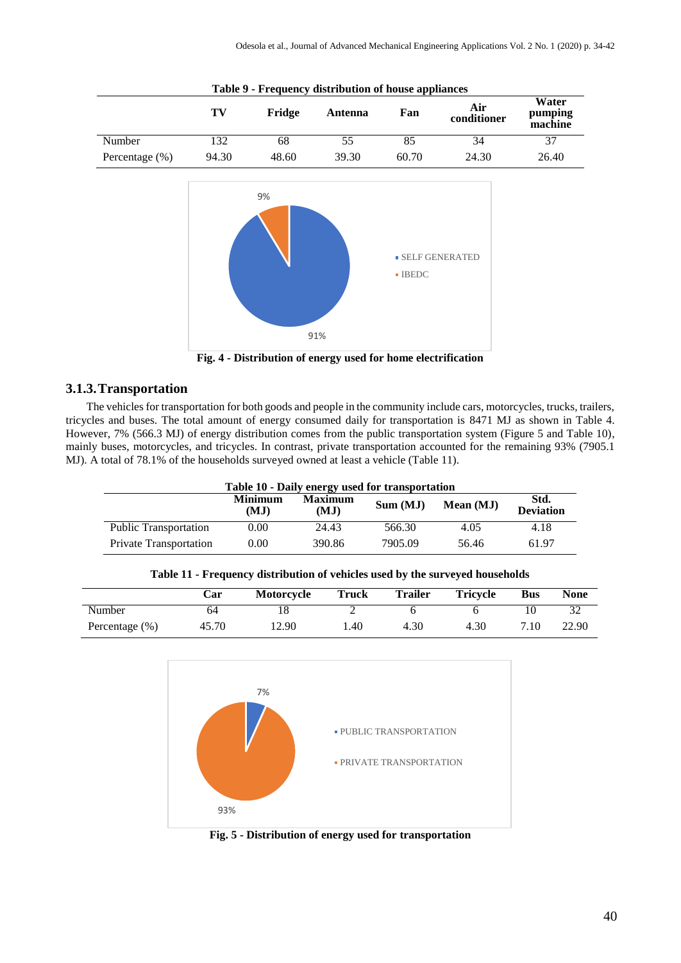|                | 100 <sub>1</sub><br>TV | Fridge | Trequency undertourion of house appliances<br>Antenna | Fan                  | Air<br>conditioner    | Water<br>pumping<br>machine |
|----------------|------------------------|--------|-------------------------------------------------------|----------------------|-----------------------|-----------------------------|
| Number         | 132                    | 68     | $\overline{55}$                                       | 85                   | $\overline{34}$       | 37                          |
| Percentage (%) | 94.30                  | 48.60  | 39.30                                                 | 60.70                | 24.30                 | 26.40                       |
|                |                        | 9%     | 91%                                                   | $\blacksquare$ IBEDC | <b>SELF GENERATED</b> |                             |

**Table 9 - Frequency distribution of house appliances**

**Fig. 4 - Distribution of energy used for home electrification**

# **3.1.3.Transportation**

The vehicles for transportation for both goods and people in the community include cars, motorcycles, trucks, trailers, tricycles and buses. The total amount of energy consumed daily for transportation is 8471 MJ as shown in Table 4. However, 7% (566.3 MJ) of energy distribution comes from the public transportation system (Figure 5 and Table 10), mainly buses, motorcycles, and tricycles. In contrast, private transportation accounted for the remaining 93% (7905.1 MJ). A total of 78.1% of the households surveyed owned at least a vehicle (Table 11).

| Table 10 - Daily energy used for transportation |                        |                        |         |           |                          |  |  |  |
|-------------------------------------------------|------------------------|------------------------|---------|-----------|--------------------------|--|--|--|
|                                                 | <b>Minimum</b><br>(MJ) | <b>Maximum</b><br>(MJ) | Sum(MJ) | Mean (MJ) | Std.<br><b>Deviation</b> |  |  |  |
| <b>Public Transportation</b>                    | 0.00                   | 24.43                  | 566.30  | 4.05      | 4.18                     |  |  |  |
| <b>Private Transportation</b>                   | 0.00                   | 390.86                 | 7905.09 | 56.46     | 61.97                    |  |  |  |

|                   | Car   | <b>Motorcycle</b> | <b>Truck</b> | <b>Trailer</b> | <b>Tricycle</b> | <b>Bus</b> | <b>None</b> |
|-------------------|-------|-------------------|--------------|----------------|-----------------|------------|-------------|
| Number            | 64    |                   |              |                |                 |            |             |
| Percentage $(\%)$ | 45.70 | 12.90             | . 40         | 4.30           | 4.30            | 7.10       | 22.90       |

**Table 11 - Frequency distribution of vehicles used by the surveyed households**



**Fig. 5 - Distribution of energy used for transportation**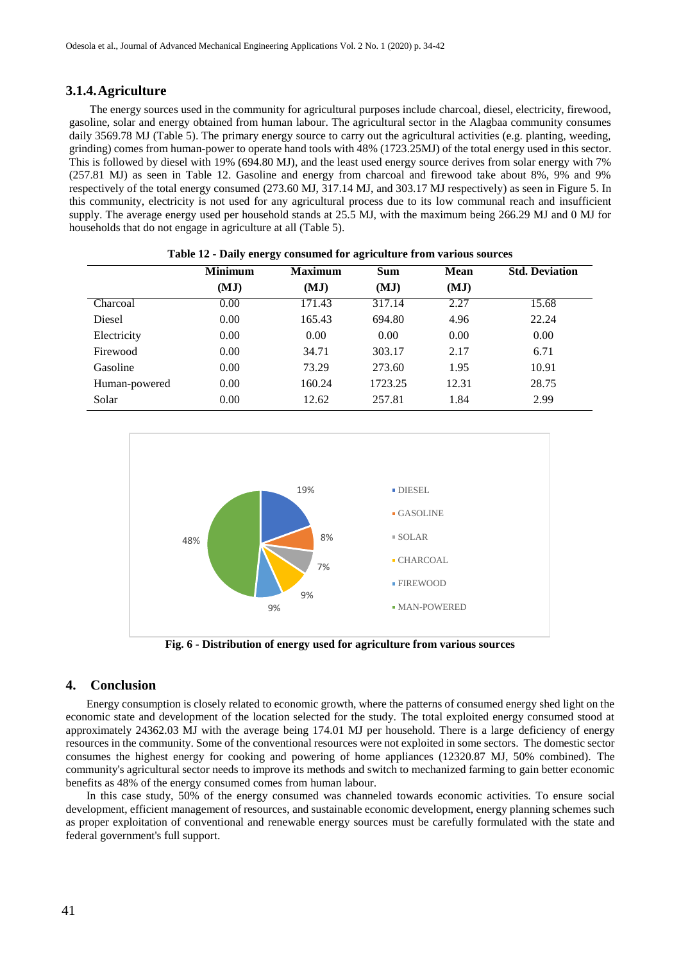# **3.1.4.Agriculture**

The energy sources used in the community for agricultural purposes include charcoal, diesel, electricity, firewood, gasoline, solar and energy obtained from human labour. The agricultural sector in the Alagbaa community consumes daily 3569.78 MJ (Table 5). The primary energy source to carry out the agricultural activities (e.g. planting, weeding, grinding) comes from human-power to operate hand tools with 48% (1723.25MJ) of the total energy used in this sector. This is followed by diesel with 19% (694.80 MJ), and the least used energy source derives from solar energy with 7% (257.81 MJ) as seen in Table 12. Gasoline and energy from charcoal and firewood take about 8%, 9% and 9% respectively of the total energy consumed (273.60 MJ, 317.14 MJ, and 303.17 MJ respectively) as seen in Figure 5. In this community, electricity is not used for any agricultural process due to its low communal reach and insufficient supply. The average energy used per household stands at 25.5 MJ, with the maximum being 266.29 MJ and 0 MJ for households that do not engage in agriculture at all (Table 5).

|               | <b>Minimum</b> | <b>Maximum</b> | <b>Sum</b> | Mean  | <b>Std. Deviation</b> |
|---------------|----------------|----------------|------------|-------|-----------------------|
|               | (MJ)           | (MJ)           | (MJ)       | (MJ)  |                       |
| Charcoal      | 0.00           | 171.43         | 317.14     | 2.27  | 15.68                 |
| Diesel        | 0.00           | 165.43         | 694.80     | 4.96  | 22.24                 |
| Electricity   | 0.00           | 0.00           | 0.00       | 0.00  | 0.00                  |
| Firewood      | 0.00           | 34.71          | 303.17     | 2.17  | 6.71                  |
| Gasoline      | 0.00           | 73.29          | 273.60     | 1.95  | 10.91                 |
| Human-powered | 0.00           | 160.24         | 1723.25    | 12.31 | 28.75                 |
| Solar         | 0.00           | 12.62          | 257.81     | 1.84  | 2.99                  |

| Table 12 - Daily energy consumed for agriculture from various sources |  |  |  |  |
|-----------------------------------------------------------------------|--|--|--|--|
|-----------------------------------------------------------------------|--|--|--|--|



**Fig. 6 - Distribution of energy used for agriculture from various sources**

# **4. Conclusion**

Energy consumption is closely related to economic growth, where the patterns of consumed energy shed light on the economic state and development of the location selected for the study. The total exploited energy consumed stood at approximately 24362.03 MJ with the average being 174.01 MJ per household. There is a large deficiency of energy resources in the community. Some of the conventional resources were not exploited in some sectors. The domestic sector consumes the highest energy for cooking and powering of home appliances (12320.87 MJ, 50% combined). The community's agricultural sector needs to improve its methods and switch to mechanized farming to gain better economic benefits as 48% of the energy consumed comes from human labour.

In this case study, 50% of the energy consumed was channeled towards economic activities. To ensure social development, efficient management of resources, and sustainable economic development, energy planning schemes such as proper exploitation of conventional and renewable energy sources must be carefully formulated with the state and federal government's full support.